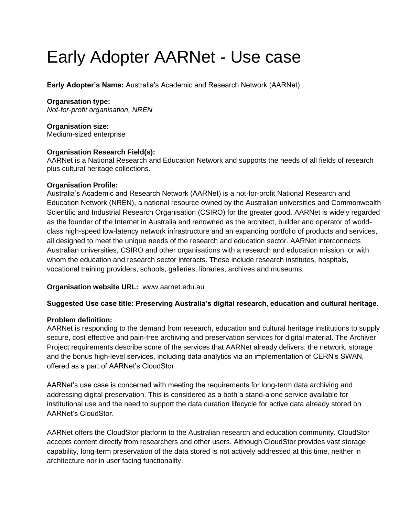# Early Adopter AARNet - Use case

**Early Adopter's Name:** Australia's Academic and Research Network (AARNet)

# **Organisation type:**

*Not-for-profit organisation, NREN*

**Organisation size:**  Medium-sized enterprise

## **Organisation Research Field(s):**

AARNet is a National Research and Education Network and supports the needs of all fields of research plus cultural heritage collections.

## **Organisation Profile:**

Australia's Academic and Research Network (AARNet) is a not-for-profit National Research and Education Network (NREN), a national resource owned by the Australian universities and Commonwealth Scientific and Industrial Research Organisation (CSIRO) for the greater good. AARNet is widely regarded as the founder of the Internet in Australia and renowned as the architect, builder and operator of worldclass high-speed low-latency network infrastructure and an expanding portfolio of products and services, all designed to meet the unique needs of the research and education sector. AARNet interconnects Australian universities, CSIRO and other organisations with a research and education mission, or with whom the education and research sector interacts. These include research institutes, hospitals, vocational training providers, schools, galleries, libraries, archives and museums.

# **Organisation website URL:** www.aarnet.edu.au

# **Suggested Use case title: Preserving Australia's digital research, education and cultural heritage.**

## **Problem definition:**

AARNet is responding to the demand from research, education and cultural heritage institutions to supply secure, cost effective and pain-free archiving and preservation services for digital material. The Archiver Project requirements describe some of the services that AARNet already delivers: the network, storage and the bonus high-level services, including data analytics via an implementation of CERN's SWAN, offered as a part of AARNet's CloudStor.

AARNet's use case is concerned with meeting the requirements for long-term data archiving and addressing digital preservation. This is considered as a both a stand-alone service available for institutional use and the need to support the data curation lifecycle for active data already stored on AARNet's CloudStor.

AARNet offers the CloudStor platform to the Australian research and education community. CloudStor accepts content directly from researchers and other users. Although CloudStor provides vast storage capability, long-term preservation of the data stored is not actively addressed at this time, neither in architecture nor in user facing functionality.